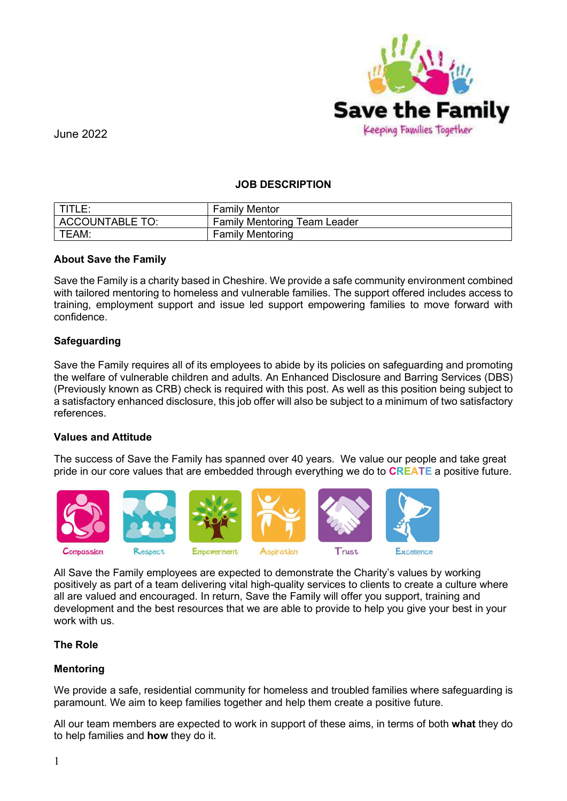

# JOB DESCRIPTION

|                 | <b>Family Mentor</b>                |
|-----------------|-------------------------------------|
| ACCOUNTABLE TO: | <b>Family Mentoring Team Leader</b> |
| TEAM:           | <b>Family Mentoring</b>             |

## About Save the Family

Save the Family is a charity based in Cheshire. We provide a safe community environment combined with tailored mentoring to homeless and vulnerable families. The support offered includes access to training, employment support and issue led support empowering families to move forward with confidence.

## **Safeguarding**

Save the Family requires all of its employees to abide by its policies on safeguarding and promoting the welfare of vulnerable children and adults. An Enhanced Disclosure and Barring Services (DBS) (Previously known as CRB) check is required with this post. As well as this position being subject to a satisfactory enhanced disclosure, this job offer will also be subject to a minimum of two satisfactory references.

#### Values and Attitude

The success of Save the Family has spanned over 40 years. We value our people and take great pride in our core values that are embedded through everything we do to **CREATE** a positive future.



All Save the Family employees are expected to demonstrate the Charity's values by working positively as part of a team delivering vital high-quality services to clients to create a culture where all are valued and encouraged. In return, Save the Family will offer you support, training and development and the best resources that we are able to provide to help you give your best in your work with us.

## The Role

#### Mentoring

We provide a safe, residential community for homeless and troubled families where safeguarding is paramount. We aim to keep families together and help them create a positive future.

All our team members are expected to work in support of these aims, in terms of both what they do to help families and how they do it.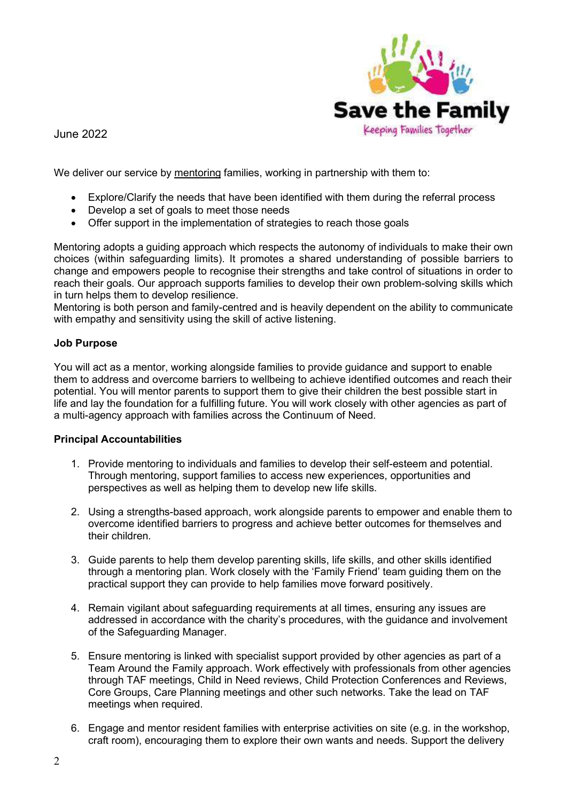

We deliver our service by mentoring families, working in partnership with them to:

- Explore/Clarify the needs that have been identified with them during the referral process
- Develop a set of goals to meet those needs
- Offer support in the implementation of strategies to reach those goals

Mentoring adopts a guiding approach which respects the autonomy of individuals to make their own choices (within safeguarding limits). It promotes a shared understanding of possible barriers to change and empowers people to recognise their strengths and take control of situations in order to reach their goals. Our approach supports families to develop their own problem-solving skills which in turn helps them to develop resilience.

Mentoring is both person and family-centred and is heavily dependent on the ability to communicate with empathy and sensitivity using the skill of active listening.

## Job Purpose

You will act as a mentor, working alongside families to provide guidance and support to enable them to address and overcome barriers to wellbeing to achieve identified outcomes and reach their potential. You will mentor parents to support them to give their children the best possible start in life and lay the foundation for a fulfilling future. You will work closely with other agencies as part of a multi-agency approach with families across the Continuum of Need.

## Principal Accountabilities

- 1. Provide mentoring to individuals and families to develop their self-esteem and potential. Through mentoring, support families to access new experiences, opportunities and perspectives as well as helping them to develop new life skills.
- 2. Using a strengths-based approach, work alongside parents to empower and enable them to overcome identified barriers to progress and achieve better outcomes for themselves and their children.
- 3. Guide parents to help them develop parenting skills, life skills, and other skills identified through a mentoring plan. Work closely with the 'Family Friend' team guiding them on the practical support they can provide to help families move forward positively.
- 4. Remain vigilant about safeguarding requirements at all times, ensuring any issues are addressed in accordance with the charity's procedures, with the guidance and involvement of the Safeguarding Manager.
- 5. Ensure mentoring is linked with specialist support provided by other agencies as part of a Team Around the Family approach. Work effectively with professionals from other agencies through TAF meetings, Child in Need reviews, Child Protection Conferences and Reviews, Core Groups, Care Planning meetings and other such networks. Take the lead on TAF meetings when required.
- 6. Engage and mentor resident families with enterprise activities on site (e.g. in the workshop, craft room), encouraging them to explore their own wants and needs. Support the delivery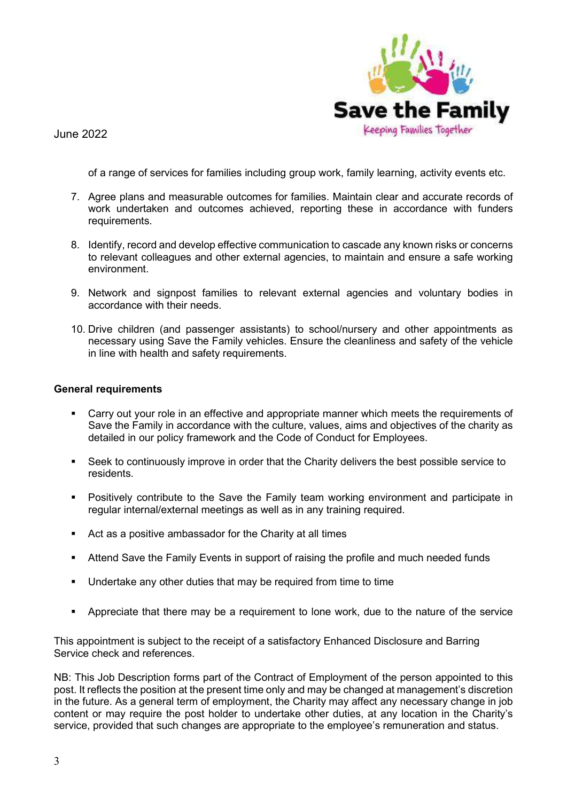

of a range of services for families including group work, family learning, activity events etc.

- 7. Agree plans and measurable outcomes for families. Maintain clear and accurate records of work undertaken and outcomes achieved, reporting these in accordance with funders requirements.
- 8. Identify, record and develop effective communication to cascade any known risks or concerns to relevant colleagues and other external agencies, to maintain and ensure a safe working environment.
- 9. Network and signpost families to relevant external agencies and voluntary bodies in accordance with their needs.
- 10. Drive children (and passenger assistants) to school/nursery and other appointments as necessary using Save the Family vehicles. Ensure the cleanliness and safety of the vehicle in line with health and safety requirements.

#### General requirements

- Carry out your role in an effective and appropriate manner which meets the requirements of Save the Family in accordance with the culture, values, aims and objectives of the charity as detailed in our policy framework and the Code of Conduct for Employees.
- Seek to continuously improve in order that the Charity delivers the best possible service to residents.
- Positively contribute to the Save the Family team working environment and participate in regular internal/external meetings as well as in any training required.
- Act as a positive ambassador for the Charity at all times
- **EXECT** Attend Save the Family Events in support of raising the profile and much needed funds
- Undertake any other duties that may be required from time to time
- Appreciate that there may be a requirement to lone work, due to the nature of the service

This appointment is subject to the receipt of a satisfactory Enhanced Disclosure and Barring Service check and references.

NB: This Job Description forms part of the Contract of Employment of the person appointed to this post. It reflects the position at the present time only and may be changed at management's discretion in the future. As a general term of employment, the Charity may affect any necessary change in job content or may require the post holder to undertake other duties, at any location in the Charity's service, provided that such changes are appropriate to the employee's remuneration and status.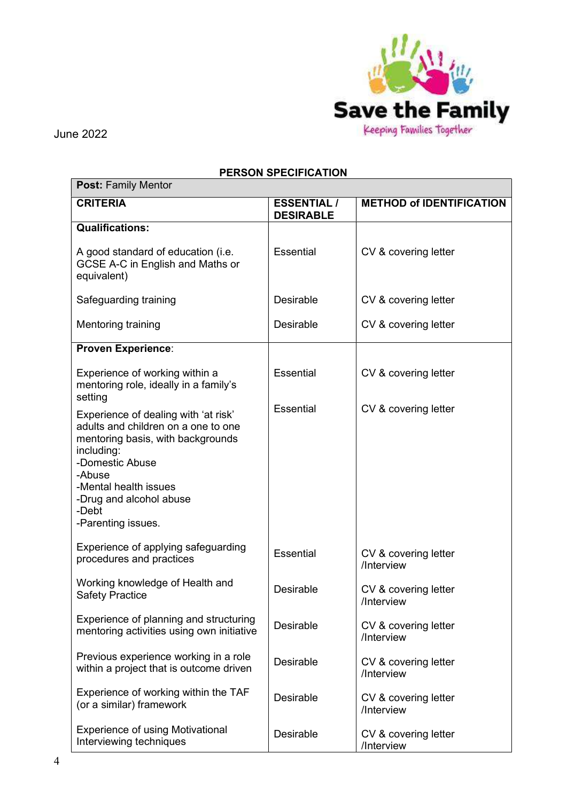

 $\overline{\phantom{a}}$ 

June 2022

# PERSON SPECIFICATION

| <b>Post: Family Mentor</b>                                                                                                                                                                                                                     |                                        |                                    |  |  |
|------------------------------------------------------------------------------------------------------------------------------------------------------------------------------------------------------------------------------------------------|----------------------------------------|------------------------------------|--|--|
| <b>CRITERIA</b>                                                                                                                                                                                                                                | <b>ESSENTIAL /</b><br><b>DESIRABLE</b> | <b>METHOD of IDENTIFICATION</b>    |  |  |
| <b>Qualifications:</b>                                                                                                                                                                                                                         |                                        |                                    |  |  |
| A good standard of education (i.e.<br>GCSE A-C in English and Maths or<br>equivalent)                                                                                                                                                          | <b>Essential</b>                       | CV & covering letter               |  |  |
| Safeguarding training                                                                                                                                                                                                                          | Desirable                              | CV & covering letter               |  |  |
| <b>Mentoring training</b>                                                                                                                                                                                                                      | Desirable                              | CV & covering letter               |  |  |
| <b>Proven Experience:</b>                                                                                                                                                                                                                      |                                        |                                    |  |  |
| Experience of working within a<br>mentoring role, ideally in a family's<br>setting                                                                                                                                                             | Essential                              | CV & covering letter               |  |  |
| Experience of dealing with 'at risk'<br>adults and children on a one to one<br>mentoring basis, with backgrounds<br>including:<br>-Domestic Abuse<br>-Abuse<br>-Mental health issues<br>-Drug and alcohol abuse<br>-Debt<br>-Parenting issues. | Essential                              | CV & covering letter               |  |  |
| Experience of applying safeguarding<br>procedures and practices                                                                                                                                                                                | Essential                              | CV & covering letter<br>/Interview |  |  |
| Working knowledge of Health and<br><b>Safety Practice</b>                                                                                                                                                                                      | <b>Desirable</b>                       | CV & covering letter<br>/Interview |  |  |
| Experience of planning and structuring<br>mentoring activities using own initiative                                                                                                                                                            | Desirable                              | CV & covering letter<br>/Interview |  |  |
| Previous experience working in a role<br>within a project that is outcome driven                                                                                                                                                               | Desirable                              | CV & covering letter<br>/Interview |  |  |
| Experience of working within the TAF<br>(or a similar) framework                                                                                                                                                                               | Desirable                              | CV & covering letter<br>/Interview |  |  |
| <b>Experience of using Motivational</b><br>Interviewing techniques                                                                                                                                                                             | Desirable                              | CV & covering letter<br>/Interview |  |  |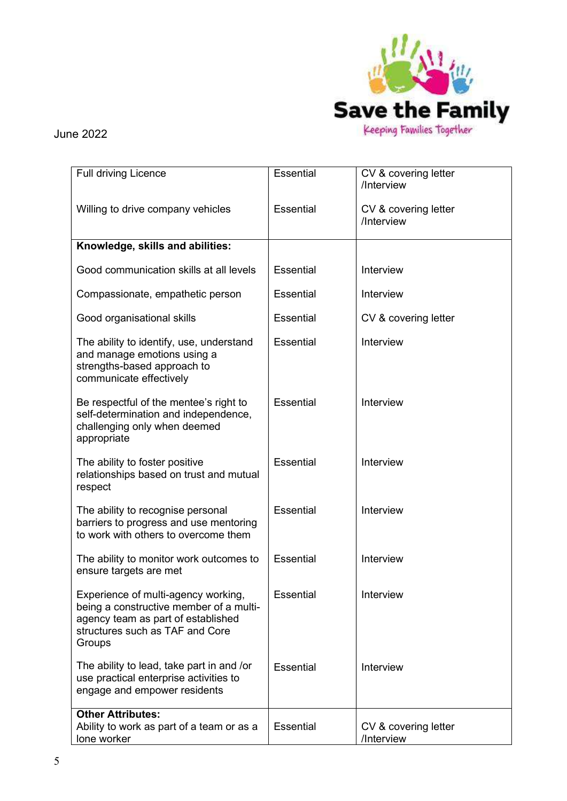

| <b>Full driving Licence</b>                                                                                                                                       | Essential        | CV & covering letter<br>/Interview |
|-------------------------------------------------------------------------------------------------------------------------------------------------------------------|------------------|------------------------------------|
| Willing to drive company vehicles                                                                                                                                 | <b>Essential</b> | CV & covering letter<br>/Interview |
| Knowledge, skills and abilities:                                                                                                                                  |                  |                                    |
| Good communication skills at all levels                                                                                                                           | <b>Essential</b> | Interview                          |
| Compassionate, empathetic person                                                                                                                                  | <b>Essential</b> | Interview                          |
| Good organisational skills                                                                                                                                        | <b>Essential</b> | CV & covering letter               |
| The ability to identify, use, understand<br>and manage emotions using a<br>strengths-based approach to<br>communicate effectively                                 | <b>Essential</b> | Interview                          |
| Be respectful of the mentee's right to<br>self-determination and independence,<br>challenging only when deemed<br>appropriate                                     | <b>Essential</b> | Interview                          |
| The ability to foster positive<br>relationships based on trust and mutual<br>respect                                                                              | Essential        | Interview                          |
| The ability to recognise personal<br>barriers to progress and use mentoring<br>to work with others to overcome them                                               | <b>Essential</b> | Interview                          |
| The ability to monitor work outcomes to<br>ensure targets are met                                                                                                 | <b>Essential</b> | Interview                          |
| Experience of multi-agency working,<br>being a constructive member of a multi-<br>agency team as part of established<br>structures such as TAF and Core<br>Groups | Essential        | Interview                          |
| The ability to lead, take part in and /or<br>use practical enterprise activities to<br>engage and empower residents                                               | <b>Essential</b> | Interview                          |
| <b>Other Attributes:</b><br>Ability to work as part of a team or as a<br>lone worker                                                                              | <b>Essential</b> | CV & covering letter<br>/Interview |